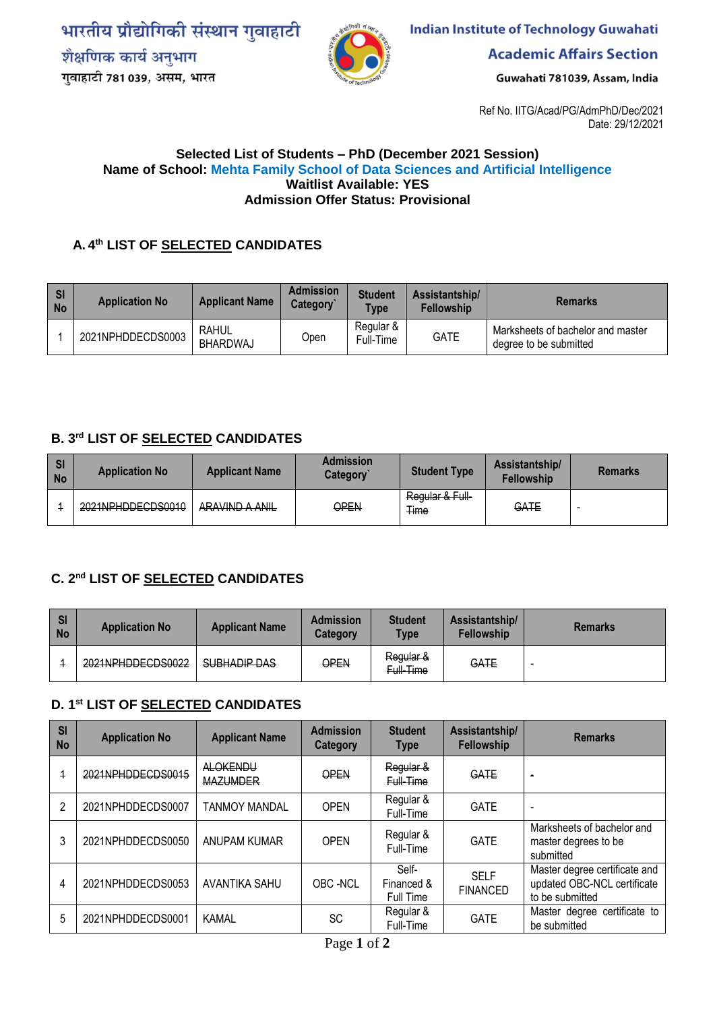भारतीय प्रौद्योगिकी संस्थान गुवाहाटी शैक्षणिक कार्य अनुभाग गुवाहाटी 781 039, असम, भारत



**Indian Institute of Technology Guwahati** 

**Academic Affairs Section** 

Guwahati 781039, Assam, India

Ref No. IITG/Acad/PG/AdmPhD/Dec/2021 Date: 29/12/2021

#### **Selected List of Students – PhD (December 2021 Session) Name of School: Mehta Family School of Data Sciences and Artificial Intelligence Waitlist Available: YES Admission Offer Status: Provisional**

# **A. 4 th LIST OF SELECTED CANDIDATES**

| SI<br><b>No</b> | <b>Application No</b> | <b>Applicant Name</b> | <b>Admission</b><br>Category | <b>Student</b><br><b>Type</b> | Assistantship/<br><b>Fellowship</b> | <b>Remarks</b>                                              |
|-----------------|-----------------------|-----------------------|------------------------------|-------------------------------|-------------------------------------|-------------------------------------------------------------|
|                 | 2021NPHDDECDS0003     | RAHUL<br>BHARDWAJ     | Open                         | Regular &<br>Full-Time        | <b>GATE</b>                         | Marksheets of bachelor and master<br>degree to be submitted |

### **B. 3rd LIST OF SELECTED CANDIDATES**

| <b>SI</b><br><b>No</b> | <b>Application No</b> | <b>Applicant Name</b> | <b>Admission</b><br>Category | <b>Student Type</b>            | Assistantship/<br><b>Fellowship</b> | <b>Remarks</b> |
|------------------------|-----------------------|-----------------------|------------------------------|--------------------------------|-------------------------------------|----------------|
|                        | 2021NPHDDECDS0010     | ARAVIND A ANIL        | OPEN                         | Regular & Full-<br><b>Time</b> | GATE                                | -              |

# **C. 2nd LIST OF SELECTED CANDIDATES**

| SI<br><b>No</b> | <b>Application No</b>                                 | <b>Applicant Name</b> | <b>Admission</b><br>Category | <b>Student</b><br><b>Type</b> | Assistantship/<br><b>Fellowship</b> | <b>Remarks</b> |
|-----------------|-------------------------------------------------------|-----------------------|------------------------------|-------------------------------|-------------------------------------|----------------|
|                 | 2021NPHDDECDS0022<br><del>202111111111111000022</del> | SUBHADIP DAS          | OPEN                         | Regular &<br>Full-Time        | GATE                                | $\sim$         |

### **D. 1 st LIST OF SELECTED CANDIDATES**

| <b>SI</b><br><b>No</b> | <b>Application No</b> | <b>Applicant Name</b>              | <b>Admission</b><br><b>Category</b> | <b>Student</b><br><b>Type</b>    | Assistantship/<br><b>Fellowship</b> | <b>Remarks</b>                                                                  |
|------------------------|-----------------------|------------------------------------|-------------------------------------|----------------------------------|-------------------------------------|---------------------------------------------------------------------------------|
| $\overline{1}$         | 2021NPHDDECDS0015     | <b>ALOKENDU</b><br><b>MAZUMDER</b> | OPEN                                | Regular &<br>Full-Time           | <b>GATE</b>                         | $\rightarrow$                                                                   |
| 2                      | 2021NPHDDECDS0007     | <b>TANMOY MANDAL</b>               | <b>OPEN</b>                         | Regular &<br>Full-Time           | <b>GATE</b>                         | $\overline{\phantom{a}}$                                                        |
| 3                      | 2021NPHDDECDS0050     | ANUPAM KUMAR                       | <b>OPEN</b>                         | Regular &<br>Full-Time           | <b>GATE</b>                         | Marksheets of bachelor and<br>master degrees to be<br>submitted                 |
| 4                      | 2021NPHDDECDS0053     | AVANTIKA SAHU                      | OBC-NCL                             | Self-<br>Financed &<br>Full Time | <b>SELF</b><br><b>FINANCED</b>      | Master degree certificate and<br>updated OBC-NCL certificate<br>to be submitted |
| 5                      | 2021NPHDDECDS0001     | <b>KAMAL</b>                       | <b>SC</b>                           | Regular &<br>Full-Time           | <b>GATE</b>                         | Master degree certificate to<br>be submitted                                    |